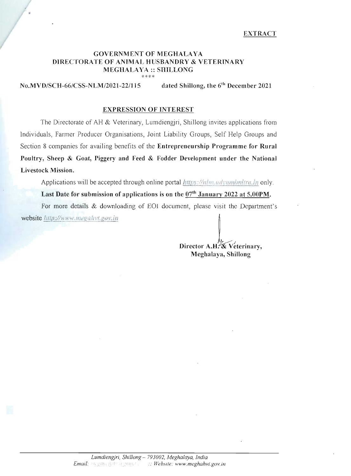#### **GOVERNMENT OF MEGHALAYA** DIRECTORATE OF ANIMAL HUSBANDRY & VETERINARY **MEGHALAYA:: SHILLONG** \*\*\*\*

dated Shillong, the 6<sup>th</sup> December 2021 No.MVD/SCH-66/CSS-NLM/2021-22/115

#### **EXPRESSION OF INTEREST**

The Directorate of AH & Veterinary, Lumdiengiri, Shillong invites applications from Individuals, Farmer Producer Organisations, Joint Liability Groups, Self Help Groups and Section 8 companies for availing benefits of the Entrepreneurship Programme for Rural Poultry, Sheep & Goat, Piggery and Feed & Fodder Development under the National Livestock Mission.

Applications will be accepted through online portal https://nim.udvaminitra.in only.

Last Date for submission of applications is on the 07<sup>th</sup> January 2022 at 5.00PM.

For more details & downloading of EO1 document, please visit the Department's website http://www.megahvt.gov.in

> Director A.H. & Veterinary, Meghalaya, Shillong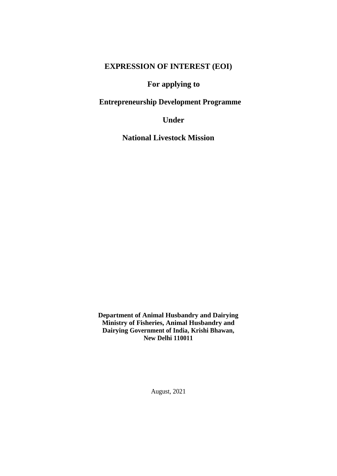# **EXPRESSION OF INTEREST (EOI)**

## **For applying to**

## **Entrepreneurship Development Programme**

**Under**

**National Livestock Mission**

**Department of Animal Husbandry and Dairying Ministry of Fisheries, Animal Husbandry and Dairying Government of India, Krishi Bhawan, New Delhi 110011**

August, 2021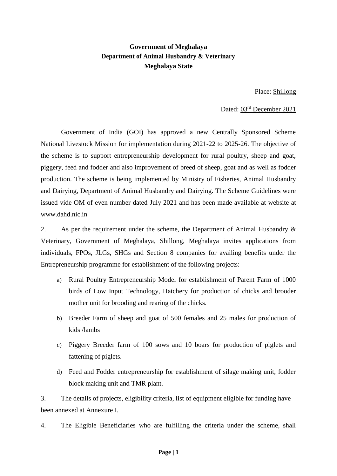## **Government of Meghalaya Department of Animal Husbandry & Veterinary Meghalaya State**

Place: Shillong

Dated: 03rd December 2021

Government of India (GOI) has approved a new Centrally Sponsored Scheme National Livestock Mission for implementation during 2021-22 to 2025-26. The objective of the scheme is to support entrepreneurship development for rural poultry, sheep and goat, piggery, feed and fodder and also improvement of breed of sheep, goat and as well as fodder production. The scheme is being implemented by Ministry of Fisheries, Animal Husbandry and Dairying, Department of Animal Husbandry and Dairying. The Scheme Guidelines were issued vide OM of even number dated July 2021 and has been made available at website at [www.dahd.nic.in](http://www.dahd.nic.in/)

2. As per the requirement under the scheme, the Department of Animal Husbandry & Veterinary, Government of Meghalaya, Shillong, Meghalaya invites applications from individuals, FPOs, JLGs, SHGs and Section 8 companies for availing benefits under the Entrepreneurship programme for establishment of the following projects:

- a) Rural Poultry Entrepreneurship Model for establishment of Parent Farm of 1000 birds of Low Input Technology, Hatchery for production of chicks and brooder mother unit for brooding and rearing of the chicks.
- b) Breeder Farm of sheep and goat of 500 females and 25 males for production of kids /lambs
- c) Piggery Breeder farm of 100 sows and 10 boars for production of piglets and fattening of piglets.
- d) Feed and Fodder entrepreneurship for establishment of silage making unit, fodder block making unit and TMR plant.

3. The details of projects, eligibility criteria, list of equipment eligible for funding have been annexed at Annexure I.

4. The Eligible Beneficiaries who are fulfilling the criteria under the scheme, shall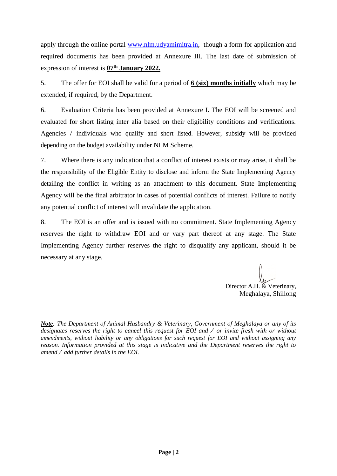apply through the online portal [www.nlm.udyamimitra.in,](http://www.nlm.udyamimitra.in/) though a form for application and required documents has been provided at Annexure III. The last date of submission of expression of interest is **07th January 2022.**

5. The offer for EOI shall be valid for a period of **6 (six) months initially** which may be extended, if required, by the Department.

6. Evaluation Criteria has been provided at Annexure I**.** The EOI will be screened and evaluated for short listing inter alia based on their eligibility conditions and verifications. Agencies / individuals who qualify and short listed. However, subsidy will be provided depending on the budget availability under NLM Scheme.

7. Where there is any indication that a conflict of interest exists or may arise, it shall be the responsibility of the Eligible Entity to disclose and inform the State Implementing Agency detailing the conflict in writing as an attachment to this document. State Implementing Agency will be the final arbitrator in cases of potential conflicts of interest. Failure to notify any potential conflict of interest will invalidate the application.

8. The EOI is an offer and is issued with no commitment. State Implementing Agency reserves the right to withdraw EOI and or vary part thereof at any stage. The State Implementing Agency further reserves the right to disqualify any applicant, should it be necessary at any stage.

Director A.H. & Veterinary, Meghalaya, Shillong

*Note: The Department of Animal Husbandry & Veterinary, Government of Meghalaya or any of its designates reserves the right to cancel this request for EOI and / or invite fresh with or without amendments, without liability or any obligations for such request for EOI and without assigning any reason. Information provided at this stage is indicative and the Department reserves the right to amend / add further details in the EOI.*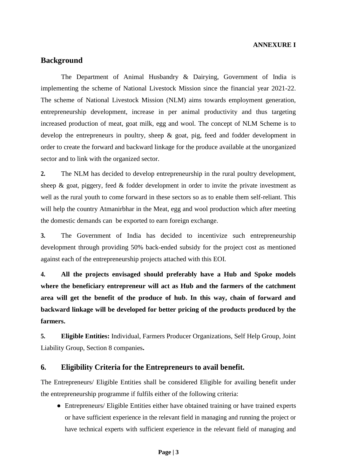### **ANNEXURE I**

### **Background**

The Department of Animal Husbandry & Dairying, Government of India is implementing the scheme of National Livestock Mission since the financial year 2021-22. The scheme of National Livestock Mission (NLM) aims towards employment generation, entrepreneurship development, increase in per animal productivity and thus targeting increased production of meat, goat milk, egg and wool. The concept of NLM Scheme is to develop the entrepreneurs in poultry, sheep & goat, pig, feed and fodder development in order to create the forward and backward linkage for the produce available at the unorganized sector and to link with the organized sector.

**2.** The NLM has decided to develop entrepreneurship in the rural poultry development, sheep  $\&$  goat, piggery, feed  $\&$  fodder development in order to invite the private investment as well as the rural youth to come forward in these sectors so as to enable them self-reliant. This will help the country Atmanirbhar in the Meat, egg and wool production which after meeting the domestic demands can be exported to earn foreign exchange.

**3.** The Government of India has decided to incentivize such entrepreneurship development through providing 50% back-ended subsidy for the project cost as mentioned against each of the entrepreneurship projects attached with this EOI.

**4. All the projects envisaged should preferably have a Hub and Spoke models where the beneficiary entrepreneur will act as Hub and the farmers of the catchment area will get the benefit of the produce of hub. In this way, chain of forward and backward linkage will be developed for better pricing of the products produced by the farmers.**

**5. Eligible Entities:** Individual, Farmers Producer Organizations, Self Help Group, Joint Liability Group, Section 8 companies**.**

### **6. Eligibility Criteria for the Entrepreneurs to avail benefit.**

The Entrepreneurs/ Eligible Entities shall be considered Eligible for availing benefit under the entrepreneurship programme if fulfils either of the following criteria:

• Entrepreneurs/ Eligible Entities either have obtained training or have trained experts or have sufficient experience in the relevant field in managing and running the project or have technical experts with sufficient experience in the relevant field of managing and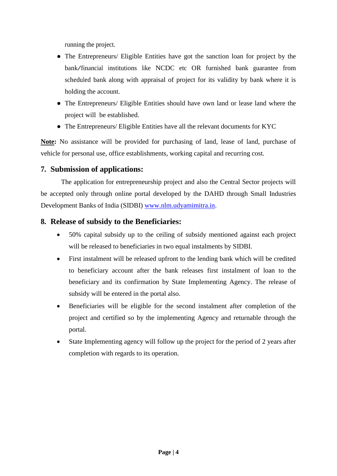running the project.

- The Entrepreneurs/ Eligible Entities have got the sanction loan for project by the bank/financial institutions like NCDC etc OR furnished bank guarantee from scheduled bank along with appraisal of project for its validity by bank where it is holding the account.
- The Entrepreneurs/ Eligible Entities should have own land or lease land where the project will be established.
- The Entrepreneurs/ Eligible Entities have all the relevant documents for KYC

**Note:** No assistance will be provided for purchasing of land, lease of land, purchase of vehicle for personal use, office establishments, working capital and recurring cost.

## **7. Submission of applications:**

The application for entrepreneurship project and also the Central Sector projects will be accepted only through online portal developed by the DAHD through Small Industries Development Banks of India (SIDBI) [www.nlm.udyamimitra.in.](http://www.nlm.udyamimitra.in/)

### **8. Release of subsidy to the Beneficiaries:**

- 50% capital subsidy up to the ceiling of subsidy mentioned against each project will be released to beneficiaries in two equal instalments by SIDBI.
- First instalment will be released upfront to the lending bank which will be credited to beneficiary account after the bank releases first instalment of loan to the beneficiary and its confirmation by State Implementing Agency. The release of subsidy will be entered in the portal also.
- Beneficiaries will be eligible for the second instalment after completion of the project and certified so by the implementing Agency and returnable through the portal.
- State Implementing agency will follow up the project for the period of 2 years after completion with regards to its operation.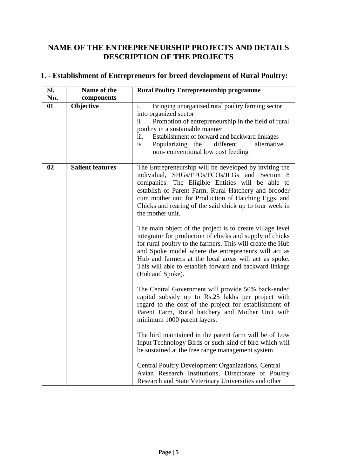# **NAME OF THE ENTREPRENEURSHIP PROJECTS AND DETAILS DESCRIPTION OF THE PROJECTS**

| SI.<br>No. | Name of the             | <b>Rural Poultry Entrepreneurship programme</b>                                                                                                                                                                                                                                                                                                                                     |
|------------|-------------------------|-------------------------------------------------------------------------------------------------------------------------------------------------------------------------------------------------------------------------------------------------------------------------------------------------------------------------------------------------------------------------------------|
| 01         | components<br>Objective | i.<br>Bringing unorganized rural poultry farming sector<br>into organized sector<br>ii.<br>Promotion of entrepreneurship in the field of rural<br>poultry in a sustainable manner<br>Establishment of forward and backward linkages<br>iii.<br>Popularizing the<br>different<br>alternative<br>iv.<br>non-conventional low cost feeding                                             |
| 02         | <b>Salient features</b> | The Entrepreneurship will be developed by inviting the<br>individual, SHGs/FPOs/FCOs/JLGs and Section 8<br>companies. The Eligible Entities will be able to<br>establish of Parent Farm, Rural Hatchery and brooder<br>cum mother unit for Production of Hatching Eggs, and<br>Chicks and rearing of the said chick up to four week in<br>the mother unit.                          |
|            |                         | The main object of the project is to create village level<br>integrator for production of chicks and supply of chicks<br>for rural poultry to the farmers. This will create the Hub<br>and Spoke model where the entrepreneurs will act as<br>Hub and farmers at the local areas will act as spoke.<br>This will able to establish forward and backward linkage<br>(Hub and Spoke). |
|            |                         | The Central Government will provide 50% back-ended<br>capital subsidy up to Rs.25 lakhs per project with<br>regard to the cost of the project for establishment of<br>Parent Farm, Rural hatchery and Mother Unit with<br>minimum 1000 parent layers.                                                                                                                               |
|            |                         | The bird maintained in the parent farm will be of Low<br>Input Technology Birds or such kind of bird which will<br>be sustained at the free range management system.                                                                                                                                                                                                                |
|            |                         | <b>Central Poultry Development Organizations, Central</b><br>Avian Research Institutions, Directorate of Poultry<br>Research and State Veterinary Universities and other                                                                                                                                                                                                            |

# **1. - Establishment of Entrepreneurs for breed development of Rural Poultry:**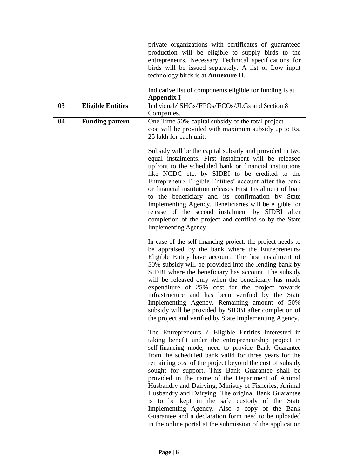|    |                          | private organizations with certificates of guaranteed<br>production will be eligible to supply birds to the<br>entrepreneurs. Necessary Technical specifications for<br>birds will be issued separately. A list of Low input<br>technology birds is at Annexure II.<br>Indicative list of components eligible for funding is at                                                                                                                                                                                                                                                                                                                                                                                                        |
|----|--------------------------|----------------------------------------------------------------------------------------------------------------------------------------------------------------------------------------------------------------------------------------------------------------------------------------------------------------------------------------------------------------------------------------------------------------------------------------------------------------------------------------------------------------------------------------------------------------------------------------------------------------------------------------------------------------------------------------------------------------------------------------|
| 03 | <b>Eligible Entities</b> | <b>Appendix I</b><br>Individual/SHGs/FPOs/FCOs/JLGs and Section 8                                                                                                                                                                                                                                                                                                                                                                                                                                                                                                                                                                                                                                                                      |
|    |                          | Companies.                                                                                                                                                                                                                                                                                                                                                                                                                                                                                                                                                                                                                                                                                                                             |
| 04 | <b>Funding pattern</b>   | One Time 50% capital subsidy of the total project<br>cost will be provided with maximum subsidy up to Rs.<br>25 lakh for each unit.                                                                                                                                                                                                                                                                                                                                                                                                                                                                                                                                                                                                    |
|    |                          | Subsidy will be the capital subsidy and provided in two<br>equal instalments. First instalment will be released<br>upfront to the scheduled bank or financial institutions<br>like NCDC etc. by SIDBI to be credited to the<br>Entrepreneur/ Eligible Entities' account after the bank<br>or financial institution releases First Instalment of loan<br>to the beneficiary and its confirmation by State<br>Implementing Agency. Beneficiaries will be eligible for<br>release of the second instalment by SIDBI after<br>completion of the project and certified so by the State<br><b>Implementing Agency</b>                                                                                                                        |
|    |                          | In case of the self-financing project, the project needs to<br>be appraised by the bank where the Entrepreneurs/<br>Eligible Entity have account. The first instalment of<br>50% subsidy will be provided into the lending bank by<br>SIDBI where the beneficiary has account. The subsidy<br>will be released only when the beneficiary has made<br>expenditure of 25% cost for the project towards<br>infrastructure and has been verified by the State<br>Implementing Agency. Remaining amount of 50%<br>subsidy will be provided by SIDBI after completion of<br>the project and verified by State Implementing Agency.                                                                                                           |
|    |                          | The Entrepreneurs / Eligible Entities interested in<br>taking benefit under the entrepreneurship project in<br>self-financing mode, need to provide Bank Guarantee<br>from the scheduled bank valid for three years for the<br>remaining cost of the project beyond the cost of subsidy<br>sought for support. This Bank Guarantee shall be<br>provided in the name of the Department of Animal<br>Husbandry and Dairying, Ministry of Fisheries, Animal<br>Husbandry and Dairying. The original Bank Guarantee<br>is to be kept in the safe custody of the State<br>Implementing Agency. Also a copy of the Bank<br>Guarantee and a declaration form need to be uploaded<br>in the online portal at the submission of the application |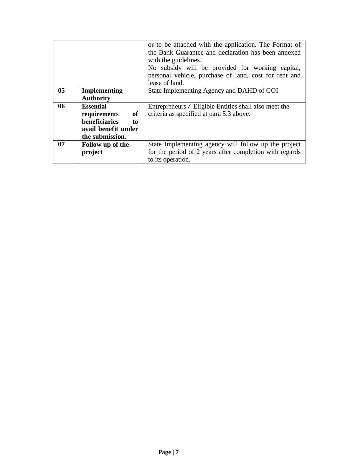|                |                            | or to be attached with the application. The Format of   |
|----------------|----------------------------|---------------------------------------------------------|
|                |                            | the Bank Guarantee and declaration has been annexed     |
|                |                            | with the guidelines.                                    |
|                |                            | No subsidy will be provided for working capital,        |
|                |                            | personal vehicle, purchase of land, cost for rent and   |
|                |                            | lease of land.                                          |
| 0 <sub>5</sub> | <b>Implementing</b>        | State Implementing Agency and DAHD of GOI               |
|                | <b>Authority</b>           |                                                         |
| 06             | <b>Essential</b>           | Entrepreneurs / Eligible Entities shall also meet the   |
|                | <b>of</b><br>requirements  | criteria as specified at para 5.3 above.                |
|                | <b>beneficiaries</b><br>to |                                                         |
|                | avail benefit under        |                                                         |
|                | the submission.            |                                                         |
| 07             | Follow up of the           | State Implementing agency will follow up the project    |
|                | project                    | for the period of 2 years after completion with regards |
|                |                            | to its operation.                                       |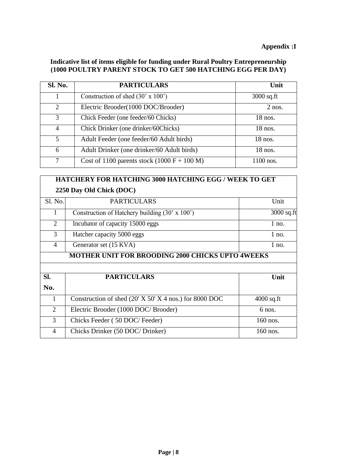### **Appendix :I**

### **Indicative list of items eligible for funding under Rural Poultry Entrepreneurship (1000 POULTRY PARENT STOCK TO GET 500 HATCHING EGG PER DAY)**

| Sl. No.                     | <b>PARTICULARS</b>                            | Unit         |
|-----------------------------|-----------------------------------------------|--------------|
|                             | Construction of shed $(30' \times 100')$      | $3000$ sq.ft |
| $\mathcal{D}_{\mathcal{L}}$ | Electric Brooder(1000 DOC/Brooder)            | $2$ nos.     |
| 3                           | Chick Feeder (one feeder/60 Chicks)           | $18$ nos.    |
| 4                           | Chick Drinker (one drinker/60Chicks)          | 18 nos.      |
| 5                           | Adult Feeder (one feeder/60 Adult birds)      | 18 nos.      |
| 6                           | Adult Drinker (one drinker/60 Adult birds)    | $18$ nos.    |
| 7                           | Cost of 1100 parents stock $(1000 F + 100 M)$ | 1100 nos.    |

# **HATCHERY FOR HATCHING 3000 HATCHING EGG / WEEK TO GET 2250 Day Old Chick (DOC)**

| Sl. No.        | <b>PARTICULARS</b>                                       | Unit         |
|----------------|----------------------------------------------------------|--------------|
| 1              | Construction of Hatchery building $(30' \times 100')$    | $3000$ sq.ft |
| $\overline{2}$ | Incubator of capacity 15000 eggs                         | $1$ no.      |
| 3              | Hatcher capacity 5000 eggs                               | $1$ no.      |
| $\overline{4}$ | Generator set (15 KVA)                                   | $1$ no.      |
|                | <b>MOTHER UNIT FOR BROODING 2000 CHICKS UPTO 4WEEKS</b>  |              |
|                |                                                          |              |
| SI.            | <b>PARTICULARS</b>                                       | Unit         |
| No.            |                                                          |              |
| 1              | Construction of shed $(20' X 50' X 4$ nos.) for 8000 DOC | $4000$ sq.ft |
| 2              | Electric Brooder (1000 DOC/ Brooder)                     | 6 nos.       |
| 3              |                                                          |              |
|                | Chicks Feeder (50 DOC/Feeder)                            | 160 nos.     |
| $\overline{4}$ | Chicks Drinker (50 DOC/ Drinker)                         | 160 nos.     |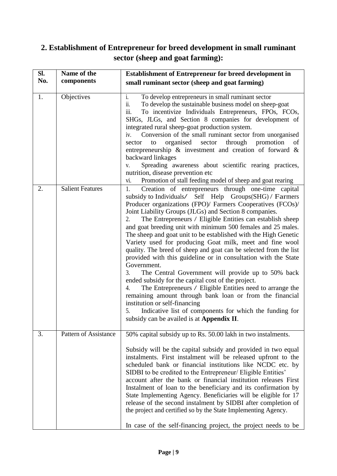# **2. Establishment of Entrepreneur for breed development in small ruminant sector (sheep and goat farming):**

| Sl. | Name of the             | <b>Establishment of Entrepreneur for breed development in</b>                                                                                                                                                                                                                                                                                                                                                                                                                                                                                                                                                                                                                                                                                                                                                                                                                                                                                                                                                                                                                 |  |
|-----|-------------------------|-------------------------------------------------------------------------------------------------------------------------------------------------------------------------------------------------------------------------------------------------------------------------------------------------------------------------------------------------------------------------------------------------------------------------------------------------------------------------------------------------------------------------------------------------------------------------------------------------------------------------------------------------------------------------------------------------------------------------------------------------------------------------------------------------------------------------------------------------------------------------------------------------------------------------------------------------------------------------------------------------------------------------------------------------------------------------------|--|
| No. | components              | small ruminant sector (sheep and goat farming)                                                                                                                                                                                                                                                                                                                                                                                                                                                                                                                                                                                                                                                                                                                                                                                                                                                                                                                                                                                                                                |  |
| 1.  | Objectives              | $i$ .<br>To develop entrepreneurs in small ruminant sector<br>To develop the sustainable business model on sheep-goat<br>$\ddot{\mathbf{1}}$ .<br>iii.<br>To incentivize Individuals Entrepreneurs, FPOs, FCOs,<br>SHGs, JLGs, and Section 8 companies for development of<br>integrated rural sheep-goat production system.<br>Conversion of the small ruminant sector from unorganised<br>iv.<br>organised<br>sector through promotion<br>sector<br>to<br>of<br>entrepreneurship $\&$ investment and creation of forward $\&$<br>backward linkages<br>Spreading awareness about scientific rearing practices,<br>V.<br>nutrition, disease prevention etc<br>Promotion of stall feeding model of sheep and goat rearing<br>vi.                                                                                                                                                                                                                                                                                                                                                |  |
| 2.  | <b>Salient Features</b> | Creation of entrepreneurs through one-time capital<br>1.<br>subsidy to Individuals/ Self Help Groups(SHG) / Farmers<br>Producer organizations (FPO)/ Farmers Cooperatives (FCOs)/<br>Joint Liability Groups (JLGs) and Section 8 companies.<br>The Entrepreneurs / Eligible Entities can establish sheep<br>2.<br>and goat breeding unit with minimum 500 females and 25 males.<br>The sheep and goat unit to be established with the High Genetic<br>Variety used for producing Goat milk, meet and fine wool<br>quality. The breed of sheep and goat can be selected from the list<br>provided with this guideline or in consultation with the State<br>Government.<br>The Central Government will provide up to 50% back<br>3.<br>ended subsidy for the capital cost of the project.<br>The Entrepreneurs / Eligible Entities need to arrange the<br>4.<br>remaining amount through bank loan or from the financial<br>institution or self-financing<br>Indicative list of components for which the funding for<br>5.<br>subsidy can be availed is at <b>Appendix II</b> . |  |
| 3.  | Pattern of Assistance   | 50% capital subsidy up to Rs. 50.00 lakh in two instalments.<br>Subsidy will be the capital subsidy and provided in two equal<br>instalments. First instalment will be released upfront to the<br>scheduled bank or financial institutions like NCDC etc. by<br>SIDBI to be credited to the Entrepreneur/ Eligible Entities'<br>account after the bank or financial institution releases First<br>Instalment of loan to the beneficiary and its confirmation by<br>State Implementing Agency. Beneficiaries will be eligible for 17<br>release of the second instalment by SIDBI after completion of<br>the project and certified so by the State Implementing Agency.<br>In case of the self-financing project, the project needs to be                                                                                                                                                                                                                                                                                                                                      |  |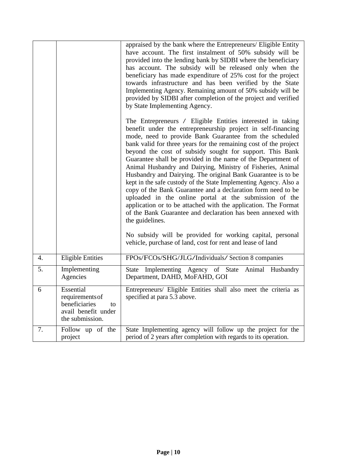|    |                                                                                               | appraised by the bank where the Entrepreneurs/ Eligible Entity<br>have account. The first instalment of 50% subsidy will be<br>provided into the lending bank by SIDBI where the beneficiary<br>has account. The subsidy will be released only when the<br>beneficiary has made expenditure of 25% cost for the project<br>towards infrastructure and has been verified by the State<br>Implementing Agency. Remaining amount of 50% subsidy will be<br>provided by SIDBI after completion of the project and verified<br>by State Implementing Agency.                                                                                                                                                                                                                                                                                                                  |
|----|-----------------------------------------------------------------------------------------------|--------------------------------------------------------------------------------------------------------------------------------------------------------------------------------------------------------------------------------------------------------------------------------------------------------------------------------------------------------------------------------------------------------------------------------------------------------------------------------------------------------------------------------------------------------------------------------------------------------------------------------------------------------------------------------------------------------------------------------------------------------------------------------------------------------------------------------------------------------------------------|
|    |                                                                                               | The Entrepreneurs / Eligible Entities interested in taking<br>benefit under the entrepreneurship project in self-financing<br>mode, need to provide Bank Guarantee from the scheduled<br>bank valid for three years for the remaining cost of the project<br>beyond the cost of subsidy sought for support. This Bank<br>Guarantee shall be provided in the name of the Department of<br>Animal Husbandry and Dairying, Ministry of Fisheries, Animal<br>Husbandry and Dairying. The original Bank Guarantee is to be<br>kept in the safe custody of the State Implementing Agency. Also a<br>copy of the Bank Guarantee and a declaration form need to be<br>uploaded in the online portal at the submission of the<br>application or to be attached with the application. The Format<br>of the Bank Guarantee and declaration has been annexed with<br>the guidelines. |
|    |                                                                                               | No subsidy will be provided for working capital, personal<br>vehicle, purchase of land, cost for rent and lease of land                                                                                                                                                                                                                                                                                                                                                                                                                                                                                                                                                                                                                                                                                                                                                  |
| 4. | <b>Eligible Entities</b>                                                                      | FPOs/FCOs/SHG/JLG/Individuals/ Section 8 companies                                                                                                                                                                                                                                                                                                                                                                                                                                                                                                                                                                                                                                                                                                                                                                                                                       |
| 5. | Implementing<br>Agencies                                                                      | Implementing Agency of State<br>Animal Husbandry<br><b>State</b><br>Department, DAHD, MoFAHD, GOI                                                                                                                                                                                                                                                                                                                                                                                                                                                                                                                                                                                                                                                                                                                                                                        |
| 6  | Essential<br>requirements of<br>beneficiaries<br>to<br>avail benefit under<br>the submission. | Entrepreneurs/ Eligible Entities shall also meet the criteria as<br>specified at para 5.3 above.                                                                                                                                                                                                                                                                                                                                                                                                                                                                                                                                                                                                                                                                                                                                                                         |
| 7. | Follow up of the<br>project                                                                   | State Implementing agency will follow up the project for the<br>period of 2 years after completion with regards to its operation.                                                                                                                                                                                                                                                                                                                                                                                                                                                                                                                                                                                                                                                                                                                                        |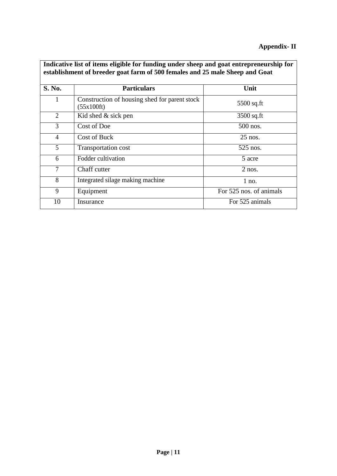| Thatcative list of items eligible for funding under sheep and goat entrepreneurship for<br>establishment of breeder goat farm of 500 females and 25 male Sheep and Goat |                                                             |                         |  |
|-------------------------------------------------------------------------------------------------------------------------------------------------------------------------|-------------------------------------------------------------|-------------------------|--|
| S. No.                                                                                                                                                                  | <b>Particulars</b>                                          | Unit                    |  |
| 1                                                                                                                                                                       | Construction of housing shed for parent stock<br>(55x100ft) | $5500$ sq.ft            |  |
| $\overline{2}$                                                                                                                                                          | Kid shed $&$ sick pen                                       | $3500$ sq.ft            |  |
| 3                                                                                                                                                                       | Cost of Doe                                                 | 500 nos.                |  |
| 4                                                                                                                                                                       | <b>Cost of Buck</b>                                         | $25$ nos.               |  |
| 5                                                                                                                                                                       | Transportation cost                                         | 525 nos.                |  |
| 6                                                                                                                                                                       | Fodder cultivation                                          | 5 acre                  |  |
| 7                                                                                                                                                                       | Chaff cutter                                                | $2$ nos.                |  |
| 8                                                                                                                                                                       | Integrated silage making machine                            | $1$ no.                 |  |
| 9                                                                                                                                                                       | Equipment                                                   | For 525 nos. of animals |  |
| 10                                                                                                                                                                      | Insurance                                                   | For 525 animals         |  |

**Indicative list of items eligible for funding under sheep and goat entrepreneurship for**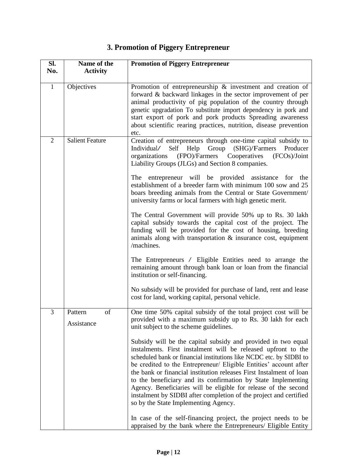# **3. Promotion of Piggery Entrepreneur**

| Sl.            | Name of the            | <b>Promotion of Piggery Entrepreneur</b>                                                                                                                                      |
|----------------|------------------------|-------------------------------------------------------------------------------------------------------------------------------------------------------------------------------|
| No.            | <b>Activity</b>        |                                                                                                                                                                               |
| $\mathbf{1}$   | Objectives             | Promotion of entrepreneurship $\&$ investment and creation of                                                                                                                 |
|                |                        | forward & backward linkages in the sector improvement of per<br>animal productivity of pig population of the country through                                                  |
|                |                        | genetic upgradation To substitute import dependency in pork and                                                                                                               |
|                |                        | start export of pork and pork products Spreading awareness                                                                                                                    |
|                |                        | about scientific rearing practices, nutrition, disease prevention<br>etc.                                                                                                     |
| $\overline{2}$ | <b>Salient Feature</b> | Creation of entrepreneurs through one-time capital subsidy to                                                                                                                 |
|                |                        | Self<br>Individual/<br>Help<br>Group<br>(SHG)/Farmers<br>Producer                                                                                                             |
|                |                        | organizations (FPO)/Farmers Cooperatives<br>(FCOs)/Joint<br>Liability Groups (JLGs) and Section 8 companies.                                                                  |
|                |                        | The entrepreneur will be provided assistance for the                                                                                                                          |
|                |                        | establishment of a breeder farm with minimum 100 sow and 25                                                                                                                   |
|                |                        | boars breeding animals from the Central or State Government/<br>university farms or local farmers with high genetic merit.                                                    |
|                |                        | The Central Government will provide 50% up to Rs. 30 lakh                                                                                                                     |
|                |                        | capital subsidy towards the capital cost of the project. The<br>funding will be provided for the cost of housing, breeding                                                    |
|                |                        | animals along with transportation $\&$ insurance cost, equipment<br>/machines.                                                                                                |
|                |                        | The Entrepreneurs / Eligible Entities need to arrange the                                                                                                                     |
|                |                        | remaining amount through bank loan or loan from the financial<br>institution or self-financing.                                                                               |
|                |                        | No subsidy will be provided for purchase of land, rent and lease<br>cost for land, working capital, personal vehicle.                                                         |
| 3              | of<br>Pattern          | One time 50% capital subsidy of the total project cost will be                                                                                                                |
|                | Assistance             | provided with a maximum subsidy up to Rs. 30 lakh for each<br>unit subject to the scheme guidelines.                                                                          |
|                |                        | Subsidy will be the capital subsidy and provided in two equal                                                                                                                 |
|                |                        | instalments. First instalment will be released upfront to the<br>scheduled bank or financial institutions like NCDC etc. by SIDBI to                                          |
|                |                        | be credited to the Entrepreneur/ Eligible Entities' account after                                                                                                             |
|                |                        | the bank or financial institution releases First Instalment of loan                                                                                                           |
|                |                        | to the beneficiary and its confirmation by State Implementing                                                                                                                 |
|                |                        | Agency. Beneficiaries will be eligible for release of the second<br>instalment by SIDBI after completion of the project and certified<br>so by the State Implementing Agency. |
|                |                        | In case of the self-financing project, the project needs to be                                                                                                                |
|                |                        | appraised by the bank where the Entrepreneurs/ Eligible Entity                                                                                                                |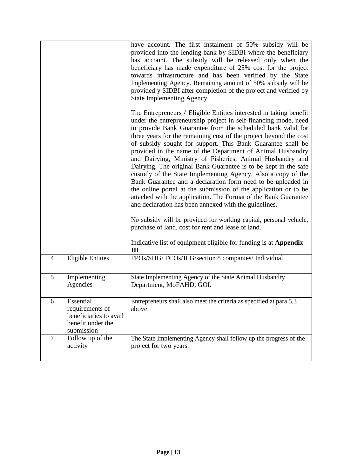|   |                                                                                           | have account. The first instalment of 50% subsidy will be<br>provided into the lending bank by SIDBI where the beneficiary<br>has account. The subsidy will be released only when the<br>beneficiary has made expenditure of 25% cost for the project<br>towards infrastructure and has been verified by the State<br>Implementing Agency. Remaining amount of 50% subsidy will be<br>provided y SIDBI after completion of the project and verified by<br>State Implementing Agency.                                                                                                                                                                                                                                                                                                                                                                                                                                                                                                                                                                                               |
|---|-------------------------------------------------------------------------------------------|------------------------------------------------------------------------------------------------------------------------------------------------------------------------------------------------------------------------------------------------------------------------------------------------------------------------------------------------------------------------------------------------------------------------------------------------------------------------------------------------------------------------------------------------------------------------------------------------------------------------------------------------------------------------------------------------------------------------------------------------------------------------------------------------------------------------------------------------------------------------------------------------------------------------------------------------------------------------------------------------------------------------------------------------------------------------------------|
|   |                                                                                           | The Entrepreneurs / Eligible Entities interested in taking benefit<br>under the entrepreneurship project in self-financing mode, need<br>to provide Bank Guarantee from the scheduled bank valid for<br>three years for the remaining cost of the project beyond the cost<br>of subsidy sought for support. This Bank Guarantee shall be<br>provided in the name of the Department of Animal Husbandry<br>and Dairying, Ministry of Fisheries, Animal Husbandry and<br>Dairying. The original Bank Guarantee is to be kept in the safe<br>custody of the State Implementing Agency. Also a copy of the<br>Bank Guarantee and a declaration form need to be uploaded in<br>the online portal at the submission of the application or to be<br>attached with the application. The Format of the Bank Guarantee<br>and declaration has been annexed with the guidelines.<br>No subsidy will be provided for working capital, personal vehicle,<br>purchase of land, cost for rent and lease of land.<br>Indicative list of equipment eligible for funding is at <b>Appendix</b><br>Ш. |
| 4 | <b>Eligible Entities</b>                                                                  | FPOs/SHG/ FCOs/JLG/section 8 companies/ Individual                                                                                                                                                                                                                                                                                                                                                                                                                                                                                                                                                                                                                                                                                                                                                                                                                                                                                                                                                                                                                                 |
| 5 | Implementing<br>Agencies                                                                  | State Implementing Agency of the State Animal Husbandry<br>Department, MoFAHD, GOI.                                                                                                                                                                                                                                                                                                                                                                                                                                                                                                                                                                                                                                                                                                                                                                                                                                                                                                                                                                                                |
| 6 | Essential<br>requirements of<br>beneficiaries to avail<br>benefit under the<br>submission | Entrepreneurs shall also meet the criteria as specified at para 5.3<br>above.                                                                                                                                                                                                                                                                                                                                                                                                                                                                                                                                                                                                                                                                                                                                                                                                                                                                                                                                                                                                      |
| 7 | Follow up of the<br>activity                                                              | The State Implementing Agency shall follow up the progress of the<br>project for two years.                                                                                                                                                                                                                                                                                                                                                                                                                                                                                                                                                                                                                                                                                                                                                                                                                                                                                                                                                                                        |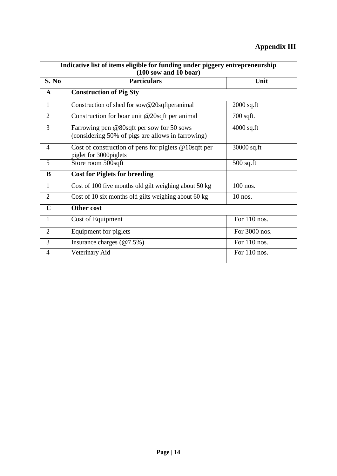# **Appendix III**

| Indicative list of items eligible for funding under piggery entrepreneurship<br>$(100)$ sow and $10$ boar) |                                                                                                |                |  |
|------------------------------------------------------------------------------------------------------------|------------------------------------------------------------------------------------------------|----------------|--|
| S. No                                                                                                      | <b>Particulars</b>                                                                             | Unit           |  |
| A                                                                                                          | <b>Construction of Pig Sty</b>                                                                 |                |  |
| $\mathbf{1}$                                                                                               | Construction of shed for sow@20sqftperanimal                                                   | $2000$ sq.ft   |  |
| $\overline{2}$                                                                                             | Construction for boar unit @20sqft per animal                                                  | $700$ sqft.    |  |
| 3                                                                                                          | Farrowing pen @80sqft per sow for 50 sows<br>(considering 50% of pigs are allows in farrowing) | $4000$ sq.ft   |  |
| $\overline{4}$                                                                                             | Cost of construction of pens for piglets $@10$ sqft per<br>piglet for 3000piglets              | 30000 sq.ft    |  |
| 5                                                                                                          | Store room 500sqft                                                                             | $500$ sq.ft    |  |
| B                                                                                                          | <b>Cost for Piglets for breeding</b>                                                           |                |  |
| $\mathbf{1}$                                                                                               | Cost of 100 five months old gilt weighing about 50 kg                                          | 100 nos.       |  |
| $\overline{2}$                                                                                             | Cost of 10 six months old gilts weighing about 60 kg                                           | $10$ nos.      |  |
| $\mathbf C$                                                                                                | <b>Other cost</b>                                                                              |                |  |
| $\mathbf{1}$                                                                                               | Cost of Equipment                                                                              | For 110 nos.   |  |
| $\overline{2}$                                                                                             | Equipment for piglets                                                                          | For 3000 nos.  |  |
| 3                                                                                                          | Insurance charges $(\textcircled{a}7.5\%)$                                                     | For 110 nos.   |  |
| 4                                                                                                          | Veterinary Aid                                                                                 | For $110$ nos. |  |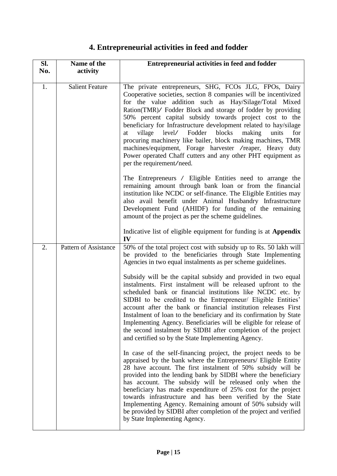# **4. Entrepreneurial activities in feed and fodder**

| SI. | Name of the            | <b>Entrepreneurial activities in feed and fodder</b>                                                                                                                                                                                                                                                                                                                                                                                                                                                                                                                                                                                                                       |
|-----|------------------------|----------------------------------------------------------------------------------------------------------------------------------------------------------------------------------------------------------------------------------------------------------------------------------------------------------------------------------------------------------------------------------------------------------------------------------------------------------------------------------------------------------------------------------------------------------------------------------------------------------------------------------------------------------------------------|
| No. | activity               |                                                                                                                                                                                                                                                                                                                                                                                                                                                                                                                                                                                                                                                                            |
| 1.  | <b>Salient Feature</b> | The private entrepreneurs, SHG, FCOs JLG, FPOs, Dairy<br>Cooperative societies, section 8 companies will be incentivized<br>for the value addition such as Hay/Silage/Total Mixed<br>Ration(TMR)/ Fodder Block and storage of fodder by providing<br>50% percent capital subsidy towards project cost to the<br>beneficiary for Infrastructure development related to hay/silage<br>level/ Fodder blocks<br>village<br>making<br>at<br>units<br>for<br>procuring machinery like bailer, block making machines, TMR<br>machines/equipment, Forage harvester /reaper, Heavy duty<br>Power operated Chaff cutters and any other PHT equipment as<br>per the requirement/need. |
|     |                        | The Entrepreneurs / Eligible Entities need to arrange the<br>remaining amount through bank loan or from the financial<br>institution like NCDC or self-finance. The Eligible Entities may<br>also avail benefit under Animal Husbandry Infrastructure<br>Development Fund (AHIDF) for funding of the remaining<br>amount of the project as per the scheme guidelines.                                                                                                                                                                                                                                                                                                      |
|     |                        | Indicative list of eligible equipment for funding is at Appendix<br>IV                                                                                                                                                                                                                                                                                                                                                                                                                                                                                                                                                                                                     |
| 2.  | Pattern of Assistance  | 50% of the total project cost with subsidy up to Rs. 50 lakh will<br>be provided to the beneficiaries through State Implementing<br>Agencies in two equal instalments as per scheme guidelines.                                                                                                                                                                                                                                                                                                                                                                                                                                                                            |
|     |                        | Subsidy will be the capital subsidy and provided in two equal<br>instalments. First instalment will be released upfront to the<br>scheduled bank or financial institutions like NCDC etc. by<br>SIDBI to be credited to the Entrepreneur/ Eligible Entities'<br>account after the bank or financial institution releases First<br>Instalment of loan to the beneficiary and its confirmation by State<br>Implementing Agency. Beneficiaries will be eligible for release of<br>the second instalment by SIDBI after completion of the project<br>and certified so by the State Implementing Agency.                                                                        |
|     |                        | In case of the self-financing project, the project needs to be<br>appraised by the bank where the Entrepreneurs/ Eligible Entity<br>28 have account. The first instalment of 50% subsidy will be<br>provided into the lending bank by SIDBI where the beneficiary<br>has account. The subsidy will be released only when the<br>beneficiary has made expenditure of 25% cost for the project<br>towards infrastructure and has been verified by the State<br>Implementing Agency. Remaining amount of 50% subsidy will<br>be provided by SIDBI after completion of the project and verified<br>by State Implementing Agency.                                               |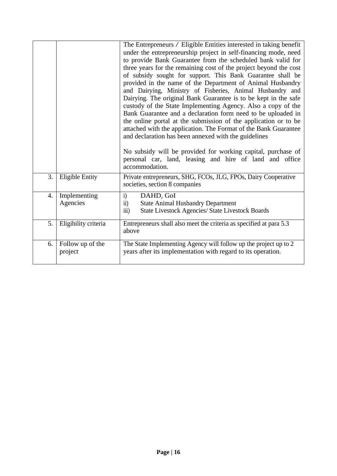|    |                             | The Entrepreneurs / Eligible Entities interested in taking benefit<br>under the entrepreneurship project in self-financing mode, need<br>to provide Bank Guarantee from the scheduled bank valid for<br>three years for the remaining cost of the project beyond the cost<br>of subsidy sought for support. This Bank Guarantee shall be<br>provided in the name of the Department of Animal Husbandry<br>and Dairying, Ministry of Fisheries, Animal Husbandry and<br>Dairying. The original Bank Guarantee is to be kept in the safe<br>custody of the State Implementing Agency. Also a copy of the<br>Bank Guarantee and a declaration form need to be uploaded in<br>the online portal at the submission of the application or to be<br>attached with the application. The Format of the Bank Guarantee<br>and declaration has been annexed with the guidelines<br>No subsidy will be provided for working capital, purchase of<br>personal car, land, leasing and hire of land and office<br>accommodation. |
|----|-----------------------------|-------------------------------------------------------------------------------------------------------------------------------------------------------------------------------------------------------------------------------------------------------------------------------------------------------------------------------------------------------------------------------------------------------------------------------------------------------------------------------------------------------------------------------------------------------------------------------------------------------------------------------------------------------------------------------------------------------------------------------------------------------------------------------------------------------------------------------------------------------------------------------------------------------------------------------------------------------------------------------------------------------------------|
| 3. | <b>Eligible Entity</b>      | Private entrepreneurs, SHG, FCOs, JLG, FPOs, Dairy Cooperative<br>societies, section 8 companies                                                                                                                                                                                                                                                                                                                                                                                                                                                                                                                                                                                                                                                                                                                                                                                                                                                                                                                  |
| 4. | Implementing<br>Agencies    | DAHD, GoI<br>i)<br>$\ddot{\mathbf{i}}$<br><b>State Animal Husbandry Department</b><br>iii)<br><b>State Livestock Agencies/ State Livestock Boards</b>                                                                                                                                                                                                                                                                                                                                                                                                                                                                                                                                                                                                                                                                                                                                                                                                                                                             |
| 5. | Eligibility criteria        | Entrepreneurs shall also meet the criteria as specified at para 5.3<br>above                                                                                                                                                                                                                                                                                                                                                                                                                                                                                                                                                                                                                                                                                                                                                                                                                                                                                                                                      |
| 6. | Follow up of the<br>project | The State Implementing Agency will follow up the project up to 2<br>years after its implementation with regard to its operation.                                                                                                                                                                                                                                                                                                                                                                                                                                                                                                                                                                                                                                                                                                                                                                                                                                                                                  |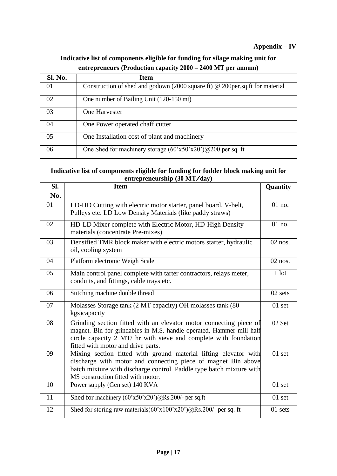### **Appendix – IV**

## **Indicative list of components eligible for funding for silage making unit for entrepreneurs (Production capacity 2000 – 2400 MT per annum)**

| Sl. No. | <b>Item</b>                                                                          |
|---------|--------------------------------------------------------------------------------------|
| 01      | Construction of shed and godown (2000 square ft) $\omega$ 200 per.sq.ft for material |
| 02      | One number of Bailing Unit (120-150 mt)                                              |
| 03      | One Harvester                                                                        |
| 04      | One Power operated chaff cutter                                                      |
| 05      | One Installation cost of plant and machinery                                         |
| 06      | One Shed for machinery storage $(60'x50'x20')\omega/200$ per sq. ft                  |

### **Indicative list of components eligible for funding for fodder block making unit for entrepreneurship (30 MT/day)**

| SI. | <b>Item</b>                                                                                                                                                                                                                                          | Quantity          |
|-----|------------------------------------------------------------------------------------------------------------------------------------------------------------------------------------------------------------------------------------------------------|-------------------|
| No. |                                                                                                                                                                                                                                                      |                   |
| 01  | LD-HD Cutting with electric motor starter, panel board, V-belt,<br>Pulleys etc. LD Low Density Materials (like paddy straws)                                                                                                                         | 01 no.            |
| 02  | HD-LD Mixer complete with Electric Motor, HD-High Density<br>materials (concentrate Pre-mixes)                                                                                                                                                       | 01 no.            |
| 03  | Densified TMR block maker with electric motors starter, hydraulic<br>oil, cooling system                                                                                                                                                             | 02 nos.           |
| 04  | Platform electronic Weigh Scale                                                                                                                                                                                                                      | 02 nos.           |
| 05  | Main control panel complete with tarter contractors, relays meter,<br>conduits, and fittings, cable trays etc.                                                                                                                                       | $1$ lot           |
| 06  | Stitching machine double thread                                                                                                                                                                                                                      | 02 sets           |
| 07  | Molasses Storage tank (2 MT capacity) OH molasses tank (80<br>kgs)capacity                                                                                                                                                                           | 01 set            |
| 08  | Grinding section fitted with an elevator motor connecting piece of<br>magnet. Bin for grindables in M.S. handle operated, Hammer mill half<br>circle capacity 2 MT/ hr with sieve and complete with foundation<br>fitted with motor and drive parts. | 02 Set            |
| 09  | Mixing section fitted with ground material lifting elevator with<br>discharge with motor and connecting piece of magnet Bin above<br>batch mixture with discharge control. Paddle type batch mixture with<br>MS construction fitted with motor.      | 01 <sub>set</sub> |
| 10  | Power supply (Gen set) 140 KVA                                                                                                                                                                                                                       | $01$ set          |
| 11  | Shed for machinery (60'x50'x20')@Rs.200/- per sq.ft                                                                                                                                                                                                  | $01$ set          |
| 12  | Shed for storing raw materials $(60 \text{°x}100 \text{°x}20 \text{°})$ $\omega$ Rs. 200/- per sq. ft                                                                                                                                                | 01 sets           |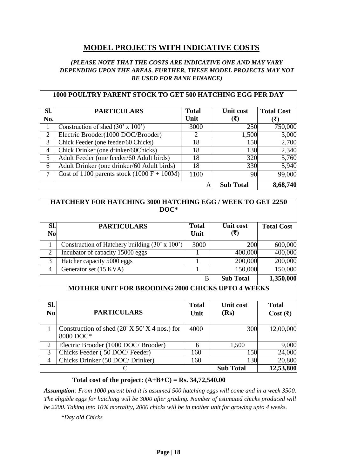## **MODEL PROJECTS WITH INDICATIVE COSTS**

### *(PLEASE NOTE THAT THE COSTS ARE INDICATIVE ONE AND MAY VARY DEPENDING UPON THE AREAS. FURTHER, THESE MODEL PROJECTS MAY NOT BE USED FOR BANK FINANCE)*

|                | <b>1000 POULTRY PARENT STOCK TO GET 500 HATCHING EGG PER DAY</b> |              |                  |                   |
|----------------|------------------------------------------------------------------|--------------|------------------|-------------------|
| SI.            | <b>PARTICULARS</b>                                               | <b>Total</b> | Unit cost        | <b>Total Cost</b> |
| No.            |                                                                  | Unit         | (₹)              | ′₹)               |
|                | Construction of shed $(30' \times 100')$                         | 3000         | 250              | 750,000           |
| $\overline{2}$ | Electric Brooder(1000 DOC/Brooder)                               | 2            | 1,500            | 3,000             |
| 3              | Chick Feeder (one feeder/60 Chicks)                              | 18           | 150              | 2,700             |
| $\overline{4}$ | Chick Drinker (one drinker/60Chicks)                             | 18           | 130              | 2,340             |
| 5              | Adult Feeder (one feeder/60 Adult birds)                         | 18           | 320              | 5,760             |
| 6              | Adult Drinker (one drinker/60 Adult birds)                       | 18           | 330              | 5,940             |
| 7              | Cost of 1100 parents stock $(1000 F + 100 M)$                    | 1100         | 90               | 99,000            |
|                |                                                                  |              | <b>Sub Total</b> | 8,68,740          |

### **HATCHERY FOR HATCHING 3000 HATCHING EGG / WEEK TO GET 2250 DOC\***

| Sl.<br>N <sub>0</sub> | <b>PARTICULARS</b>                             | <b>Total</b><br>Unit | Unit cost<br>(₹) | <b>Total Cost</b> |
|-----------------------|------------------------------------------------|----------------------|------------------|-------------------|
|                       | Construction of Hatchery building (30' x 100') | 3000                 | 200              | 600,000           |
| $\mathcal{D}$         | Incubator of capacity 15000 eggs               |                      | 400,000          | 400,000           |
| 3                     | Hatcher capacity 5000 eggs                     |                      | 200,000          | 200,000           |
| 4                     | Generator set (15 KVA)                         |                      | 150,000          | 150,000           |
|                       |                                                | B                    | <b>Sub Total</b> | 1,350,000         |

### **MOTHER UNIT FOR BROODING 2000 CHICKS UPTO 4 WEEKS**

| SI.<br>N <sub>0</sub> | <b>PARTICULARS</b>                                           | <b>Total</b><br>Unit | <b>Unit cost</b><br>(Rs) | <b>Total</b><br>Cost $(\overline{\mathbf{x}})$ |
|-----------------------|--------------------------------------------------------------|----------------------|--------------------------|------------------------------------------------|
|                       | Construction of shed $(20' X 50' X 4$ nos.) for<br>8000 DOC* | 4000                 | 300                      | 12,00,000                                      |
|                       | Electric Brooder (1000 DOC/ Brooder)                         | 6                    | 1,500                    | 9,000                                          |
| 3                     | Chicks Feeder (50 DOC/Feeder)                                | 160                  | 150                      | 24,000                                         |
| 4                     | Chicks Drinker (50 DOC/ Drinker)                             | 160                  | 130                      | 20,800                                         |
|                       |                                                              |                      | <b>Sub Total</b>         | 12,53,800                                      |

### **Total cost of the project: (A+B+C) = Rs. 34,72,540.00**

*Assumption: From 1000 parent bird it is assumed 500 hatching eggs will come and in a week 3500. The eligible eggs for hatching will be 3000 after grading. Number of estimated chicks produced will be 2200. Taking into 10% mortality, 2000 chicks will be in mother unit for growing upto 4 weeks.*

*\*Day old Chicks*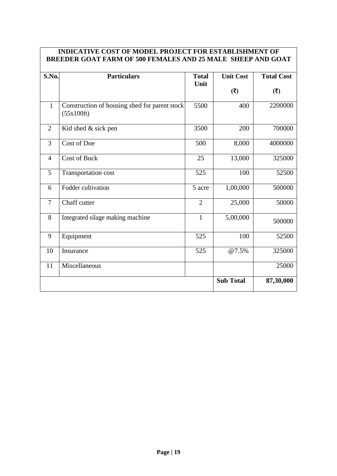### **INDICATIVE COST OF MODEL PROJECT FOR ESTABLISHMENT OF BREEDER GOAT FARM OF 500 FEMALES AND 25 MALE SHEEP AND GOAT**

| S.No.          | <b>Particulars</b>                                          | <b>Total</b>   | <b>Unit Cost</b> | <b>Total Cost</b> |
|----------------|-------------------------------------------------------------|----------------|------------------|-------------------|
|                |                                                             | Unit           | (5)              | (3)               |
| $\mathbf{1}$   | Construction of housing shed for parent stock<br>(55x100ft) | 5500           | 400              | 2200000           |
| $\overline{2}$ | Kid shed & sick pen                                         | 3500           | 200              | 700000            |
| 3              | Cost of Doe                                                 | 500            | 8,000            | 4000000           |
| $\overline{4}$ | <b>Cost of Buck</b>                                         | 25             | 13,000           | 325000            |
| 5              | Transportation cost                                         | 525            | 100              | 52500             |
| 6              | Fodder cultivation                                          | 5 acre         | 1,00,000         | 500000            |
| $\overline{7}$ | Chaff cutter                                                | $\overline{2}$ | 25,000           | 50000             |
| 8              | Integrated silage making machine                            | $\mathbf{1}$   | 5,00,000         | 500000            |
| 9              | Equipment                                                   | 525            | 100              | 52500             |
| 10             | Insurance                                                   | 525            | @7.5%            | 325000            |
| 11             | Miscellaneous                                               |                |                  | 25000             |
|                |                                                             |                | <b>Sub Total</b> | 87,30,000         |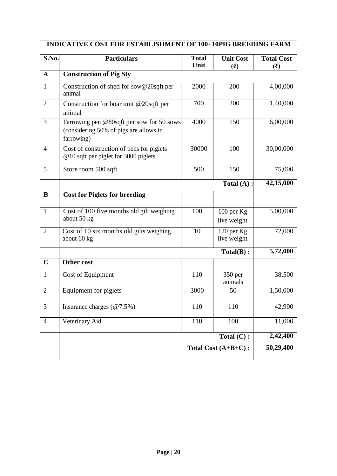|                | <b>INDICATIVE COST FOR ESTABLISHMENT OF 100+10PIG BREEDING FARM</b>                               |                      |                             |                          |
|----------------|---------------------------------------------------------------------------------------------------|----------------------|-----------------------------|--------------------------|
| S.No.          | <b>Particulars</b>                                                                                | <b>Total</b><br>Unit | <b>Unit Cost</b><br>(5)     | <b>Total Cost</b><br>(3) |
| $\mathbf{A}$   | <b>Construction of Pig Sty</b>                                                                    |                      |                             |                          |
| $\mathbf{1}$   | Construction of shed for sow@20sqft per<br>animal                                                 | 2000                 | 200                         | 4,00,000                 |
| $\mathbf{2}$   | Construction for boar unit @20sqft per<br>animal                                                  | $\overline{700}$     | 200                         | 1,40,000                 |
| $\overline{3}$ | Farrowing pen @80sqft per sow for 50 sows<br>(considering 50% of pigs are allows in<br>farrowing) | 4000                 | 150                         | 6,00,000                 |
| 4              | Cost of construction of pens for piglets<br>@10 sqft per piglet for 3000 piglets                  | 30000                | 100                         | 30,00,000                |
| $\overline{5}$ | Store room 500 sqft                                                                               | 500                  | 150                         | 75,000                   |
|                |                                                                                                   |                      | Total $(A)$ :               | 42,15,000                |
| ${\bf B}$      | <b>Cost for Piglets for breeding</b>                                                              |                      |                             |                          |
| $\mathbf{1}$   | Cost of 100 five months old gilt weighing<br>about 50 kg                                          | 100                  | $100$ per Kg<br>live weight | 5,00,000                 |
| $\overline{2}$ | Cost of 10 six months old gilts weighing<br>about 60 kg                                           | 10                   | 120 per Kg<br>live weight   | 72,000                   |
|                |                                                                                                   |                      | $Total(B)$ :                | 5,72,000                 |
| $\mathbf C$    | Other cost                                                                                        |                      |                             |                          |
| $\mathbf{1}$   | Cost of Equipment                                                                                 | 110                  | 350 per<br>animals          | 38,500                   |
| $\overline{2}$ | Equipment for piglets                                                                             | 3000                 | 50                          | 1,50,000                 |
| 3              | Insurance charges $(\textcircled{a}7.5\%)$                                                        | 110                  | 110                         | 42,900                   |
| $\overline{4}$ | Veterinary Aid                                                                                    | 110                  | 100                         | 11,000                   |
|                |                                                                                                   |                      | Total $(C)$ :               | 2,42,400                 |
|                |                                                                                                   |                      | Total Cost (A+B+C):         | 50,29,400                |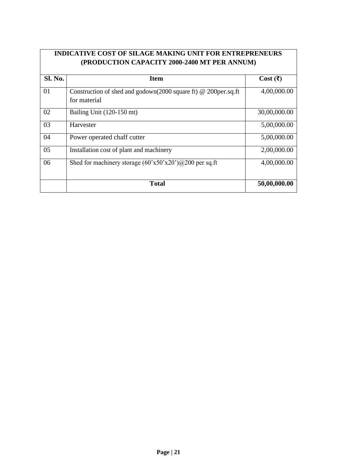## **INDICATIVE COST OF SILAGE MAKING UNIT FOR ENTREPRENEURS (PRODUCTION CAPACITY 2000-2400 MT PER ANNUM)**

| Sl. No. | <b>Item</b>                                                                    | Cost( ₹)     |
|---------|--------------------------------------------------------------------------------|--------------|
| 01      | Construction of shed and godown(2000 square ft) @ 200per.sq.ft<br>for material | 4,00,000.00  |
| 02      | Bailing Unit (120-150 mt)                                                      | 30,00,000.00 |
| 03      | Harvester                                                                      | 5,00,000.00  |
| 04      | Power operated chaff cutter                                                    | 5,00,000.00  |
| 05      | Installation cost of plant and machinery                                       | 2,00,000.00  |
| 06      | Shed for machinery storage $(60'x50'x20')@200$ per sq.ft                       | 4,00,000.00  |
|         | <b>Total</b>                                                                   | 50,00,000.00 |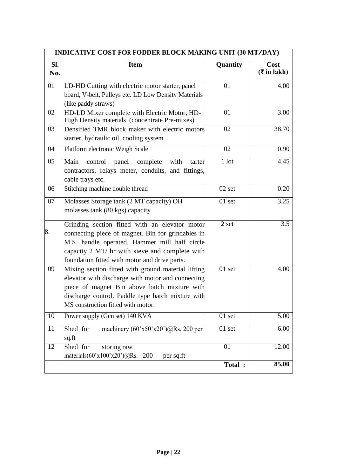| INDICATIVE COST FOR FODDER BLOCK MAKING UNIT (30 MT/DAY) |                                                                                                                                                                                                                                                         |          |                             |
|----------------------------------------------------------|---------------------------------------------------------------------------------------------------------------------------------------------------------------------------------------------------------------------------------------------------------|----------|-----------------------------|
| $\overline{SI.}$<br>No.                                  | <b>Item</b>                                                                                                                                                                                                                                             | Quantity | Cost<br>$(\bar{z}$ in lakh) |
| 01                                                       | LD-HD Cutting with electric motor starter, panel<br>board, V-belt, Pulleys etc. LD Low Density Materials<br>(like paddy straws)                                                                                                                         | 01       | 4.00                        |
| 02                                                       | HD-LD Mixer complete with Electric Motor, HD-<br>High Density materials (concentrate Pre-mixes)                                                                                                                                                         | 01       | 3.00                        |
| 03                                                       | Densified TMR block maker with electric motors<br>starter, hydraulic oil, cooling system                                                                                                                                                                | 02       | 38.70                       |
| 04                                                       | Platform electronic Weigh Scale                                                                                                                                                                                                                         | 02       | 0.90                        |
| 05                                                       | Main<br>control<br>panel complete<br>with<br>tarter<br>contractors, relays meter, conduits, and fittings,<br>cable trays etc.                                                                                                                           | 1 lot    | 4.45                        |
| 06                                                       | Stitching machine double thread                                                                                                                                                                                                                         | $02$ set | 0.20                        |
| 07                                                       | Molasses Storage tank (2 MT capacity) OH<br>molasses tank (80 kgs) capacity                                                                                                                                                                             | 01 set   | 3.25                        |
| 8.                                                       | Grinding section fitted with an elevator motor<br>connecting piece of magnet. Bin for grindables in<br>M.S. handle operated, Hammer mill half circle<br>capacity 2 MT/ hr with sieve and complete with<br>foundation fitted with motor and drive parts. | 2 set    | 3.5                         |
| 09                                                       | Mixing section fitted with ground material lifting<br>elevator with discharge with motor and connecting<br>piece of magnet Bin above batch mixture with<br>discharge control. Paddle type batch mixture with<br>MS construction fitted with motor.      | $01$ set | 4.00                        |
| 10                                                       | Power supply (Gen set) 140 KVA                                                                                                                                                                                                                          | $01$ set | $\overline{5.00}$           |
| 11                                                       | Shed for<br>machinery $(60'x50'x20')\omega$ Rs. 200 per<br>sq.ft                                                                                                                                                                                        | $01$ set | 6.00                        |
| 12                                                       | Shed for<br>storing raw<br>materials $(60'x100'x20')\omega$ Rs. 200<br>per sq.ft                                                                                                                                                                        | 01       | 12.00                       |
|                                                          |                                                                                                                                                                                                                                                         | Total :  | 85.00                       |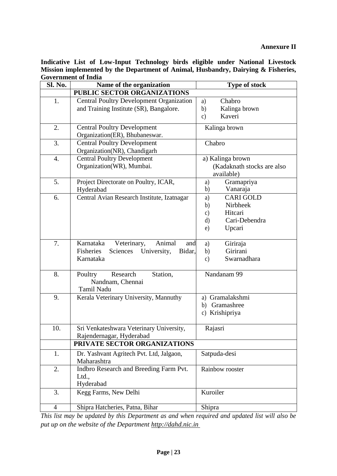### **Annexure II**

**Indicative List of Low-Input Technology birds eligible under National Livestock Mission implemented by the Department of Animal, Husbandry, Dairying & Fisheries, Government of India**

| <b>Sl. No.</b>   | Name of the organization                                                                                 | <b>Type of stock</b>                                                                                                 |  |  |
|------------------|----------------------------------------------------------------------------------------------------------|----------------------------------------------------------------------------------------------------------------------|--|--|
|                  | <b>PUBLIC SECTOR ORGANIZATIONS</b>                                                                       |                                                                                                                      |  |  |
| 1.               | <b>Central Poultry Development Organization</b><br>and Training Institute (SR), Bangalore.               | Chabro<br>a)<br>b)<br>Kalinga brown<br>Kaveri<br>$\mathbf{c})$                                                       |  |  |
| 2.               | <b>Central Poultry Development</b><br>Organization(ER), Bhubaneswar.                                     | Kalinga brown                                                                                                        |  |  |
| 3.               | <b>Central Poultry Development</b><br>Organization(NR), Chandigarh                                       | Chabro                                                                                                               |  |  |
| $\overline{4}$ . | <b>Central Poultry Development</b><br>Organization(WR), Mumbai.                                          | a) Kalinga brown<br>(Kadaknath stocks are also<br>available)                                                         |  |  |
| 5.               | Project Directorate on Poultry, ICAR,<br>Hyderabad                                                       | Gramapriya<br>a)<br>b)<br>Vanaraja                                                                                   |  |  |
| 6.               | Central Avian Research Institute, Izatnagar                                                              | <b>CARI GOLD</b><br>a)<br>Nirbheek<br>b)<br>Hitcari<br>$\mathfrak{c}$ )<br>Cari-Debendra<br>$\rm d)$<br>Upcari<br>e) |  |  |
| 7.               | Karnataka<br>Animal<br>Veterinary,<br>and<br>Fisheries<br>Sciences<br>University,<br>Bidar,<br>Karnataka | Giriraja<br>a)<br>Girirani<br>b)<br>Swarnadhara<br>$\mathbf{c})$                                                     |  |  |
| 8.               | Research<br>Station,<br>Poultry<br>Nandnam, Chennai<br>Tamil Nadu                                        | Nandanam 99                                                                                                          |  |  |
| 9.               | Kerala Veterinary University, Mannuthy                                                                   | a) Gramalakshmi<br>Gramashree<br>b)<br>c) Krishipriya                                                                |  |  |
| 10.              | Sri Venkateshwara Veterinary University,<br>Rajendernagar, Hyderabad                                     | Rajasri                                                                                                              |  |  |
|                  | PRIVATE SECTOR ORGANIZATIONS                                                                             |                                                                                                                      |  |  |
| 1.               | Dr. Yashvant Agritech Pvt. Ltd, Jalgaon,<br>Maharashtra                                                  | Satpuda-desi                                                                                                         |  |  |
| 2.               | Indbro Research and Breeding Farm Pvt.<br>Ltd.,<br>Hyderabad                                             | Rainbow rooster                                                                                                      |  |  |
| 3.               | Kegg Farms, New Delhi                                                                                    | Kuroiler                                                                                                             |  |  |
| $\overline{4}$   | Shipra Hatcheries, Patna, Bihar                                                                          | Shipra                                                                                                               |  |  |

*This list may be updated by this Department as and when required and updated list will also be put up on the website of the Department [http://dahd.nic.in](http://dahd.nic.in/)*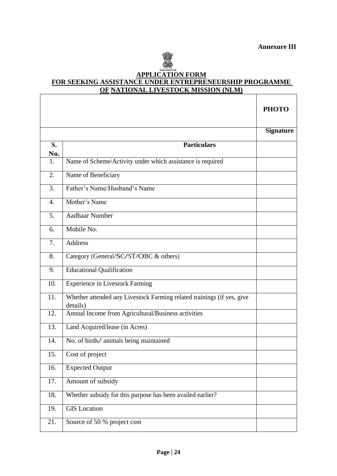

### **APPLICATION FORM FOR SEEKING ASSISTANCE UNDER ENTREPRENEURSHIP PROGRAMME OF NATIONAL LIVESTOCK MISSION (NLM)**

|                  |                                                                                    | <b>PHOTO</b>     |
|------------------|------------------------------------------------------------------------------------|------------------|
|                  |                                                                                    | <b>Signature</b> |
| S.               | <b>Particulars</b>                                                                 |                  |
| No.              |                                                                                    |                  |
| 1.               | Name of Scheme/Activity under which assistance is required                         |                  |
| 2.               | Name of Beneficiary                                                                |                  |
| 3.               | Father's Name/Husband's Name                                                       |                  |
| $\overline{4}$ . | Mother's Name                                                                      |                  |
| 5.               | <b>Aadhaar Number</b>                                                              |                  |
| 6.               | Mobile No.                                                                         |                  |
| 7.               | <b>Address</b>                                                                     |                  |
| 8.               | Category (General/SC/ST/OBC & others)                                              |                  |
| 9.               | <b>Educational Qualification</b>                                                   |                  |
| 10.              | <b>Experience in Livestock Farming</b>                                             |                  |
| 11.              | Whether attended any Livestock Farming related trainings (if yes, give<br>details) |                  |
| 12.              | Annual Income from Agricultural/Business activities                                |                  |
| 13.              | Land Acquired/lease (in Acres)                                                     |                  |
| 14.              | No. of birds/animals being maintained                                              |                  |
| 15.              | Cost of project                                                                    |                  |
| 16.              | <b>Expected Output</b>                                                             |                  |
| 17.              | Amount of subsidy                                                                  |                  |
| 18.              | Whether subsidy for this purpose has been availed earlier?                         |                  |
| 19.              | <b>GIS</b> Location                                                                |                  |
| 21.              | Source of 50 % project cost                                                        |                  |